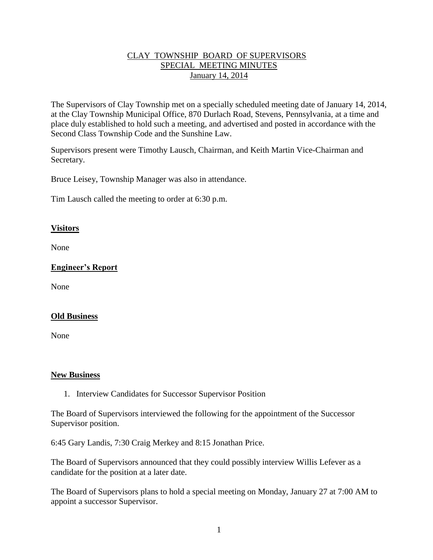## CLAY TOWNSHIP BOARD OF SUPERVISORS SPECIAL MEETING MINUTES January 14, 2014

The Supervisors of Clay Township met on a specially scheduled meeting date of January 14, 2014, at the Clay Township Municipal Office, 870 Durlach Road, Stevens, Pennsylvania, at a time and place duly established to hold such a meeting, and advertised and posted in accordance with the Second Class Township Code and the Sunshine Law.

Supervisors present were Timothy Lausch, Chairman, and Keith Martin Vice-Chairman and Secretary.

Bruce Leisey, Township Manager was also in attendance.

Tim Lausch called the meeting to order at 6:30 p.m.

### **Visitors**

None

## **Engineer's Report**

None

#### **Old Business**

None

#### **New Business**

1. Interview Candidates for Successor Supervisor Position

The Board of Supervisors interviewed the following for the appointment of the Successor Supervisor position.

6:45 Gary Landis, 7:30 Craig Merkey and 8:15 Jonathan Price.

The Board of Supervisors announced that they could possibly interview Willis Lefever as a candidate for the position at a later date.

The Board of Supervisors plans to hold a special meeting on Monday, January 27 at 7:00 AM to appoint a successor Supervisor.